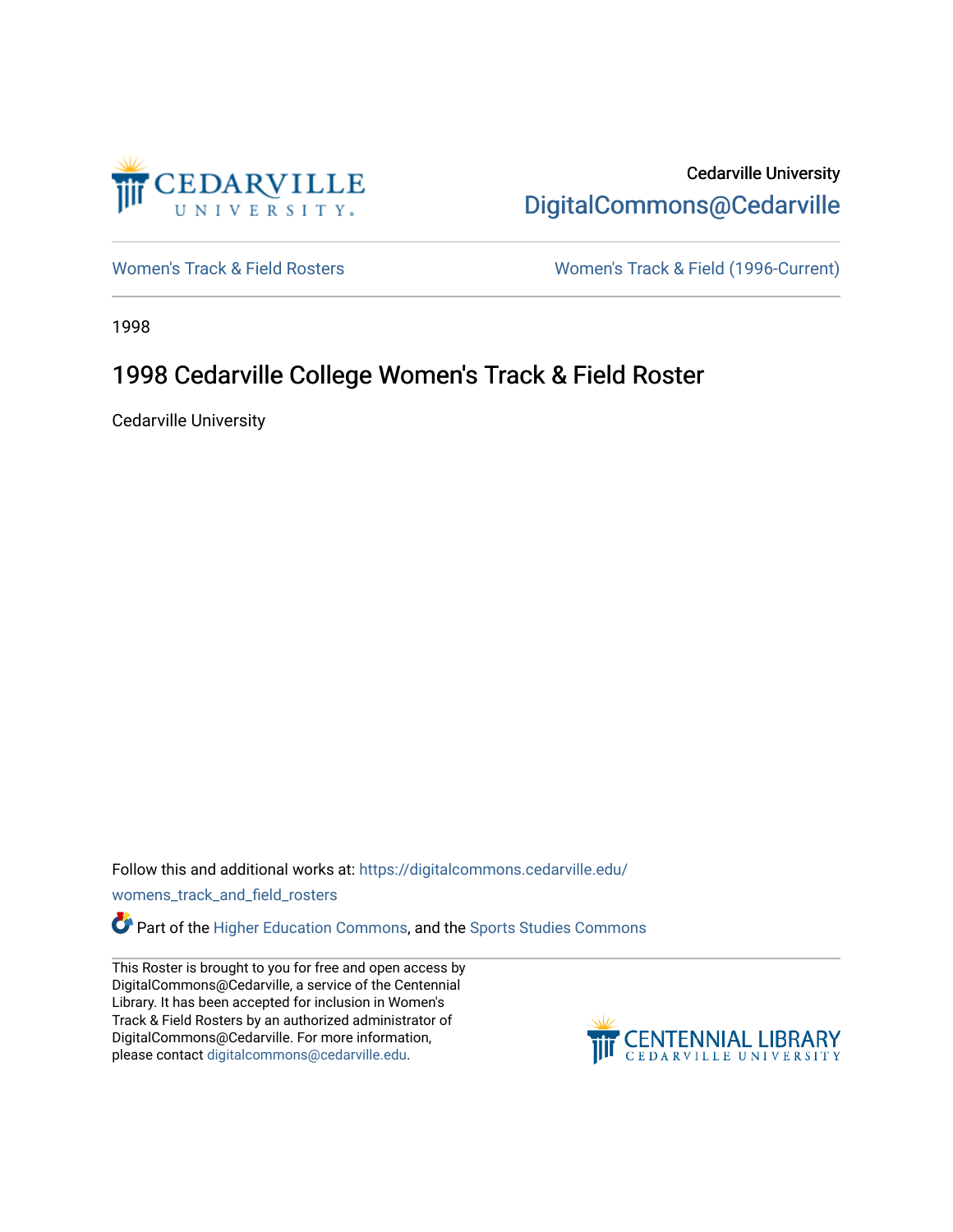

Cedarville University [DigitalCommons@Cedarville](https://digitalcommons.cedarville.edu/) 

[Women's Track & Field Rosters](https://digitalcommons.cedarville.edu/womens_track_and_field_rosters) Women's Track & Field (1996-Current)

1998

## 1998 Cedarville College Women's Track & Field Roster

Cedarville University

Follow this and additional works at: [https://digitalcommons.cedarville.edu/](https://digitalcommons.cedarville.edu/womens_track_and_field_rosters?utm_source=digitalcommons.cedarville.edu%2Fwomens_track_and_field_rosters%2F20&utm_medium=PDF&utm_campaign=PDFCoverPages)

[womens\\_track\\_and\\_field\\_rosters](https://digitalcommons.cedarville.edu/womens_track_and_field_rosters?utm_source=digitalcommons.cedarville.edu%2Fwomens_track_and_field_rosters%2F20&utm_medium=PDF&utm_campaign=PDFCoverPages) 

**C** Part of the [Higher Education Commons,](http://network.bepress.com/hgg/discipline/1245?utm_source=digitalcommons.cedarville.edu%2Fwomens_track_and_field_rosters%2F20&utm_medium=PDF&utm_campaign=PDFCoverPages) and the Sports Studies Commons

This Roster is brought to you for free and open access by DigitalCommons@Cedarville, a service of the Centennial Library. It has been accepted for inclusion in Women's Track & Field Rosters by an authorized administrator of DigitalCommons@Cedarville. For more information, please contact [digitalcommons@cedarville.edu](mailto:digitalcommons@cedarville.edu).